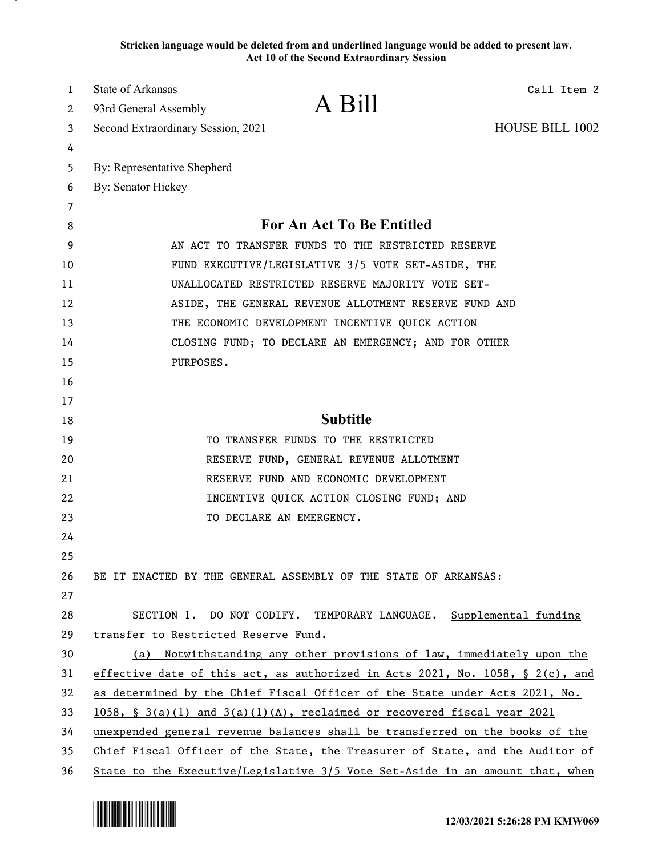**Stricken language would be deleted from and underlined language would be added to present law. Act 10 of the Second Extraordinary Session**

| 1  | State of Arkansas                                  |                                                                               | Call Item 2            |
|----|----------------------------------------------------|-------------------------------------------------------------------------------|------------------------|
| 2  | 93rd General Assembly                              | A Bill                                                                        |                        |
| 3  | Second Extraordinary Session, 2021                 |                                                                               | <b>HOUSE BILL 1002</b> |
| 4  |                                                    |                                                                               |                        |
| 5  | By: Representative Shepherd                        |                                                                               |                        |
| 6  | By: Senator Hickey                                 |                                                                               |                        |
| 7  |                                                    |                                                                               |                        |
| 8  |                                                    | For An Act To Be Entitled                                                     |                        |
| 9  | AN ACT TO TRANSFER FUNDS TO THE RESTRICTED RESERVE |                                                                               |                        |
| 10 |                                                    | FUND EXECUTIVE/LEGISLATIVE 3/5 VOTE SET-ASIDE, THE                            |                        |
| 11 |                                                    | UNALLOCATED RESTRICTED RESERVE MAJORITY VOTE SET-                             |                        |
| 12 |                                                    | ASIDE, THE GENERAL REVENUE ALLOTMENT RESERVE FUND AND                         |                        |
| 13 |                                                    | THE ECONOMIC DEVELOPMENT INCENTIVE QUICK ACTION                               |                        |
| 14 |                                                    | CLOSING FUND; TO DECLARE AN EMERGENCY; AND FOR OTHER                          |                        |
| 15 | PURPOSES.                                          |                                                                               |                        |
| 16 |                                                    |                                                                               |                        |
| 17 |                                                    |                                                                               |                        |
| 18 |                                                    | <b>Subtitle</b>                                                               |                        |
| 19 |                                                    | TO TRANSFER FUNDS TO THE RESTRICTED                                           |                        |
| 20 |                                                    | RESERVE FUND, GENERAL REVENUE ALLOTMENT                                       |                        |
| 21 |                                                    | RESERVE FUND AND ECONOMIC DEVELOPMENT                                         |                        |
| 22 |                                                    | INCENTIVE QUICK ACTION CLOSING FUND; AND                                      |                        |
| 23 |                                                    | TO DECLARE AN EMERGENCY.                                                      |                        |
| 24 |                                                    |                                                                               |                        |
| 25 |                                                    |                                                                               |                        |
| 26 |                                                    | BE IT ENACTED BY THE GENERAL ASSEMBLY OF THE STATE OF ARKANSAS:               |                        |
| 27 |                                                    |                                                                               |                        |
| 28 |                                                    | SECTION 1. DO NOT CODIFY. TEMPORARY LANGUAGE. Supplemental funding            |                        |
| 29 | transfer to Restricted Reserve Fund.               |                                                                               |                        |
| 30 |                                                    | (a) Notwithstanding any other provisions of law, immediately upon the         |                        |
| 31 |                                                    | effective date of this act, as authorized in Acts 2021, No. 1058, § 2(c), and |                        |
| 32 |                                                    | as determined by the Chief Fiscal Officer of the State under Acts 2021, No.   |                        |
| 33 |                                                    | $1058$ , § 3(a)(1) and 3(a)(1)(A), reclaimed or recovered fiscal year 2021    |                        |
| 34 |                                                    | unexpended general revenue balances shall be transferred on the books of the  |                        |
| 35 |                                                    | Chief Fiscal Officer of the State, the Treasurer of State, and the Auditor of |                        |
| 36 |                                                    | State to the Executive/Legislative 3/5 Vote Set-Aside in an amount that, when |                        |

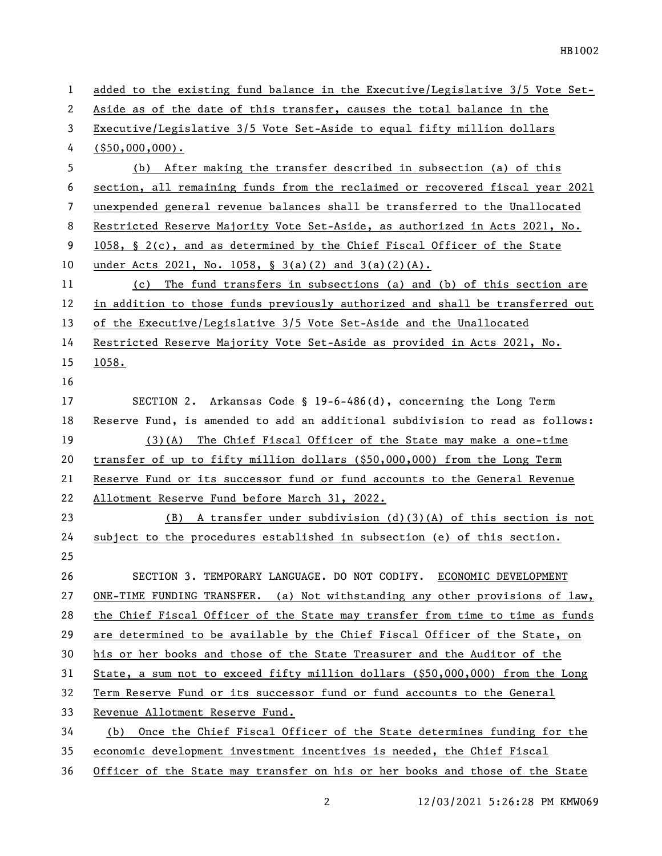| $\mathbf{1}$ | added to the existing fund balance in the Executive/Legislative 3/5 Vote Set-   |
|--------------|---------------------------------------------------------------------------------|
| 2            | Aside as of the date of this transfer, causes the total balance in the          |
| 3            | Executive/Legislative 3/5 Vote Set-Aside to equal fifty million dollars         |
| 4            | $($ \$50,000,000).                                                              |
| 5            | (b) After making the transfer described in subsection (a) of this               |
| 6            | section, all remaining funds from the reclaimed or recovered fiscal year 2021   |
| 7            | unexpended general revenue balances shall be transferred to the Unallocated     |
| 8            | Restricted Reserve Majority Vote Set-Aside, as authorized in Acts 2021, No.     |
| 9            | 1058, § 2(c), and as determined by the Chief Fiscal Officer of the State        |
| 10           | under Acts 2021, No. 1058, § 3(a)(2) and 3(a)(2)(A).                            |
| 11           | The fund transfers in subsections (a) and (b) of this section are<br>(c)        |
| 12           | in addition to those funds previously authorized and shall be transferred out   |
| 13           | of the Executive/Legislative 3/5 Vote Set-Aside and the Unallocated             |
| 14           | Restricted Reserve Majority Vote Set-Aside as provided in Acts 2021, No.        |
| 15           | 1058.                                                                           |
| 16           |                                                                                 |
| 17           | SECTION 2. Arkansas Code § 19-6-486(d), concerning the Long Term                |
| 18           | Reserve Fund, is amended to add an additional subdivision to read as follows:   |
| 19           | $(3)(A)$ The Chief Fiscal Officer of the State may make a one-time              |
| 20           | transfer of up to fifty million dollars (\$50,000,000) from the Long Term       |
| 21           | Reserve Fund or its successor fund or fund accounts to the General Revenue      |
| 22           | Allotment Reserve Fund before March 31, 2022.                                   |
| 23           | $(B)$ A transfer under subdivision (d)(3)(A) of this section is not             |
| 24           | subject to the procedures established in subsection (e) of this section.        |
| 25           |                                                                                 |
| 26           | SECTION 3. TEMPORARY LANGUAGE. DO NOT CODIFY. ECONOMIC DEVELOPMENT              |
| 27           | ONE-TIME FUNDING TRANSFER. (a) Not withstanding any other provisions of $law$ , |
| 28           | the Chief Fiscal Officer of the State may transfer from time to time as funds   |
| 29           | are determined to be available by the Chief Fiscal Officer of the State, on     |
| 30           | his or her books and those of the State Treasurer and the Auditor of the        |
| 31           | State, a sum not to exceed fifty million dollars (\$50,000,000) from the Long   |
| 32           | Term Reserve Fund or its successor fund or fund accounts to the General         |
| 33           | Revenue Allotment Reserve Fund.                                                 |
| 34           | Once the Chief Fiscal Officer of the State determines funding for the<br>(b)    |
| 35           | economic development investment incentives is needed, the Chief Fiscal          |
| 36           | Officer of the State may transfer on his or her books and those of the State    |

2 12/03/2021 5:26:28 PM KMW069